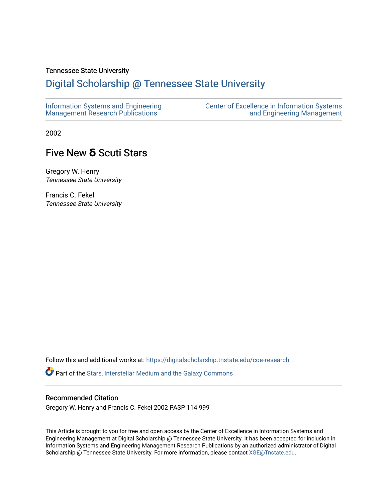# Tennessee State University

# [Digital Scholarship @ Tennessee State University](https://digitalscholarship.tnstate.edu/)

| Information Systems and Engineering | <b>Center of Excellence in Information Systems</b> |
|-------------------------------------|----------------------------------------------------|
| Management Research Publications    | and Engineering Management                         |

2002

# Five New **δ** Scuti Stars

Gregory W. Henry Tennessee State University

Francis C. Fekel Tennessee State University

Follow this and additional works at: [https://digitalscholarship.tnstate.edu/coe-research](https://digitalscholarship.tnstate.edu/coe-research?utm_source=digitalscholarship.tnstate.edu%2Fcoe-research%2F306&utm_medium=PDF&utm_campaign=PDFCoverPages) 

Part of the [Stars, Interstellar Medium and the Galaxy Commons](http://network.bepress.com/hgg/discipline/127?utm_source=digitalscholarship.tnstate.edu%2Fcoe-research%2F306&utm_medium=PDF&utm_campaign=PDFCoverPages) 

# Recommended Citation

Gregory W. Henry and Francis C. Fekel 2002 PASP 114 999

This Article is brought to you for free and open access by the Center of Excellence in Information Systems and Engineering Management at Digital Scholarship @ Tennessee State University. It has been accepted for inclusion in Information Systems and Engineering Management Research Publications by an authorized administrator of Digital Scholarship @ Tennessee State University. For more information, please contact [XGE@Tnstate.edu](mailto:XGE@Tnstate.edu).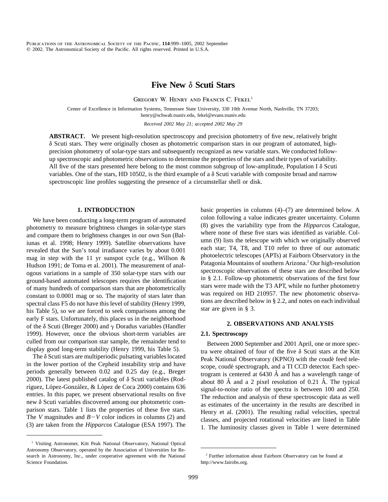# **Five New δ Scuti Stars**

GREGORY W. HENRY AND FRANCIS C. FEKEL<sup>1</sup>

Center of Excellence in Information Systems, Tennessee State University, 330 10th Avenue North, Nashville, TN 37203; henry@schwab.tsuniv.edu, fekel@evans.tsuniv.edu

*Received 2002 May 21; accepted 2002 May 29*

**ABSTRACT.** We present high-resolution spectroscopy and precision photometry of five new, relatively bright  $\delta$  Scuti stars. They were originally chosen as photometric comparison stars in our program of automated, highprecision photometry of solar-type stars and subsequently recognized as new variable stars. We conducted followup spectroscopic and photometric observations to determine the properties of the stars and their types of variability. All five of the stars presented here belong to the most common subgroup of low-amplitude, Population I  $\delta$  Scuti variables. One of the stars, HD 10502, is the third example of a  $\delta$  Scuti variable with composite broad and narrow spectroscopic line profiles suggesting the presence of a circumstellar shell or disk.

# **1. INTRODUCTION**

We have been conducting a long-term program of automated photometry to measure brightness changes in solar-type stars and compare them to brightness changes in our own Sun (Baliunas et al. 1998; Henry 1999). Satellite observations have revealed that the Sun's total irradiance varies by about 0.001 mag in step with the 11 yr sunspot cycle (e.g., Willson  $\&$ Hudson 1991; de Toma et al. 2001). The measurement of analogous variations in a sample of 350 solar-type stars with our ground-based automated telescopes requires the identification of many hundreds of comparison stars that are photometrically constant to 0.0001 mag or so. The majority of stars later than spectral class F5 do not have this level of stability (Henry 1999, his Table 5), so we are forced to seek comparisons among the early F stars. Unfortunately, this places us in the neighborhood of the  $\delta$  Scuti (Breger 2000) and  $\gamma$  Doradus variables (Handler 1999). However, once the obvious short-term variables are culled from our comparison star sample, the remainder tend to display good long-term stability (Henry 1999, his Table 5).

The  $\delta$  Scuti stars are multiperiodic pulsating variables located in the lower portion of the Cepheid instability strip and have periods generally between 0.02 and 0.25 day (e.g., Breger 2000). The latest published catalog of  $\delta$  Scuti variables (Rodríguez, López-González, & López de Coca 2000) contains 636 entries. In this paper, we present observational results on five new  $\delta$  Scuti variables discovered among our photometric comparison stars. Table 1 lists the properties of these five stars. The *V* magnitudes and  $B-V$  color indices in columns (2) and (3) are taken from the *Hipparcos* Catalogue (ESA 1997). The basic properties in columns (4)–(7) are determined below. A colon following a value indicates greater uncertainty. Column (8) gives the variability type from the *Hipparcos* Catalogue, where none of these five stars was identified as variable. Column (9) lists the telescope with which we originally observed each star; T4, T8, and T10 refer to three of our automatic photoelectric telescopes (APTs) at Fairborn Observatory in the Patagonia Mountains of southern Arizona.<sup>2</sup> Our high-resolution spectroscopic observations of these stars are described below in § 2.1. Follow-up photometric observations of the first four stars were made with the T3 APT, while no further photometry was required on HD 210957. The new photometric observations are described below in § 2.2, and notes on each individual star are given in § 3.

### **2. OBSERVATIONS AND ANALYSIS**

#### **2.1. Spectroscopy**

Between 2000 September and 2001 April, one or more spectra were obtained of four of the five  $\delta$  Scuti stars at the Kitt Peak National Observatory (KPNO) with the coudé feed telescope, coudé spectrograph, and a TI CCD detector. Each spectrogram is centered at  $6430$  Å and has a wavelength range of about 80  $\AA$  and a 2 pixel resolution of 0.21  $\AA$ . The typical signal-to-noise ratio of the spectra is between 100 and 250. The reduction and analysis of these spectroscopic data as well as estimates of the uncertainty in the results are described in Henry et al. (2001). The resulting radial velocities, spectral classes, and projected rotational velocities are listed in Table 1. The luminosity classes given in Table 1 were determined

<sup>&</sup>lt;sup>1</sup> Visiting Astronomer, Kitt Peak National Observatory, National Optical Astronomy Observatory, operated by the Association of Universities for Research in Astronomy, Inc., under cooperative agreement with the National Science Foundation.

<sup>2</sup> Further information about Fairborn Observatory can be found at http://www.fairobs.org.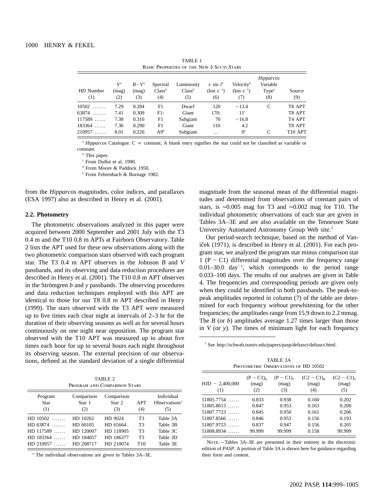| BASIC PROPERTIES OF THE NEW $\delta$ SCUTI STARS |                             |                               |                                       |                                         |                                      |                                               |                                                   |                     |
|--------------------------------------------------|-----------------------------|-------------------------------|---------------------------------------|-----------------------------------------|--------------------------------------|-----------------------------------------------|---------------------------------------------------|---------------------|
| HD Number<br>(1)                                 | $V^{\rm a}$<br>(mag)<br>(2) | $B-V^{\rm a}$<br>(mag)<br>(3) | Spectral<br>Class <sup>b</sup><br>(4) | Luminosity<br>Class <sup>b</sup><br>(5) | $v \sin i^b$<br>$(km s^{-1})$<br>(6) | Velocity <sup>b</sup><br>$(km s^{-1})$<br>(7) | Hipparcos<br>Variable<br>Type <sup>a</sup><br>(8) | Source<br>(9)       |
| $10502$                                          | 7.29                        | 0.284                         | F1                                    | Dwarf                                   | 120                                  | $-13.4$                                       | C                                                 | T8 APT              |
| $63874$                                          | 7.41                        | 0.309                         | F1:                                   | Giant                                   | 170:                                 | 11 <sup>c</sup>                               |                                                   | T8 APT              |
| 117589<br>1.1.1.1.1                              | 7.38                        | 0.310                         | F1                                    | Subgiant                                | 70                                   | $-16.8$                                       |                                                   | T <sub>4</sub> APT  |
| 183364<br>1.1.1.1.1                              | 7.36                        | 0.290                         | F1                                    | Giant                                   | 110                                  | 4.2                                           |                                                   | T8 APT              |
| 210957<br>1.1.1.1                                | 8.01                        | 0.226                         | A9 <sup>d</sup>                       | Subgiant                                | $\cdots$                             | $0^{\circ}$                                   | C                                                 | T <sub>10</sub> APT |

TABLE 1

 $\alpha$  *Hipparcos* Catalogue. C = constant. A blank entry signifies the star could not be classified as variable or constant.

**b** This paper.

<sup>c</sup> From Duflot et al. 1990.

<sup>d</sup> From Moore & Paddock 1950.

<sup>e</sup> From Fehrenbach & Burnage 1982.

from the *Hipparcos* magnitudes, color indices, and parallaxes (ESA 1997) also as described in Henry et al. (2001).

#### **2.2. Photometry**

The photometric observations analyzed in this paper were acquired between 2000 September and 2001 July with the T3 0.4 m and the T10 0.8 m APTs at Fairborn Observatory. Table 2 lists the APT used for these new observations along with the two photometric comparison stars observed with each program star. The T3 0.4 m APT observes in the Johnson *B* and *V* passbands, and its observing and data reduction procedures are described in Henry et al. (2001). The T10 0.8 m APT observes in the Strömgren  $b$  and  $y$  passbands. The observing procedures and data reduction techniques employed with this APT are identical to those for our T8 0.8 m APT described in Henry (1999). The stars observed with the T3 APT were measured up to five times each clear night at intervals of 2–3 hr for the duration of their observing seasons as well as for several hours continuously on one night near opposition. The program star observed with the T10 APT was measured up to about five times each hour for up to several hours each night throughout its observing season. The external precision of our observations, defined as the standard deviation of a single differential

TABLE 2 Program and Comparison Stars

| Program<br><b>Star</b><br>(1) | Comparison<br>Star 1<br>(2) | Comparison<br>Star 2<br>(3) | APT<br>(4)            | Individual<br>Observations <sup>a</sup><br>(5) |
|-------------------------------|-----------------------------|-----------------------------|-----------------------|------------------------------------------------|
| $HD$ 10502                    | HD 10262                    | HD 9024                     | T <sub>3</sub>        | Table 3A                                       |
| $HD 63874$                    | HD 60105                    | HD 65664                    | T <sub>3</sub>        | Table 3B                                       |
| $HD$ 117589                   | HD 120007                   | HD 118905                   | T <sub>3</sub>        | Table 3C                                       |
| $HD$ 183364<br>$HD$ 210957    | HD 184057<br>HD 208717      | HD 186377<br>HD 210074      | T3<br>T <sub>10</sub> | Table 3D<br>Table 3E                           |

<sup>a</sup> The individual observations are given in Tables 3A–3E.

magnitude from the seasonal mean of the differential magnitudes and determined from observations of constant pairs of stars, is ∼0.005 mag for T3 and ∼0.002 mag for T10. The individual photometric observations of each star are given in Tables 3A–3E and are also available on the Tennessee State University Automated Astronomy Group Web site.3

Our period-search technique, based on the method of Vaniĉek (1971), is described in Henry et al. (2001). For each program star, we analyzed the program star minus comparison star 1 ( $P - C1$ ) differential magnitudes over the frequency range  $0.01-30.0$  day<sup>-1</sup>, which corresponds to the period range 0.033–100 days. The results of our analyses are given in Table 4. The frequencies and corresponding periods are given only when they could be identified in both passbands. The peak-topeak amplitudes reported in column (7) of the table are determined for each frequency *without* prewhitening for the other frequencies; the amplitudes range from 15.9 down to 2.2 mmag. The *B* (or *b*) amplitudes average 1.27 times larger than those in *V* (or *y*). The times of minimum light for each frequency

<sup>3</sup> See http://schwab.tsuniv.edu/papers/pasp/deltasct/deltasct.html.

TABLE 3A PHOTOMETRIC OBSERVATIONS OF HD 10502

| $HJD - 2,400,000$<br>(1) | $(P - C1)_{R}$<br>(mag)<br>(2) | $(P - C1)_{V}$<br>(mag)<br>(3) | $(C2 - C1)_{R}$<br>(mag)<br>(4) | $(C2 - C1)_{V}$<br>(mag)<br>(5) |
|--------------------------|--------------------------------|--------------------------------|---------------------------------|---------------------------------|
| $51805.7754$             | 0.833                          | 0.938                          | 0.160                           | 0.202                           |
| $51805.8613$             | 0.847                          | 0.953                          | 0.163                           | 0.200                           |
| $51807.7723$             | 0.845                          | 0.950                          | 0.161                           | 0.206                           |
| $51807.8566$             | 0.846                          | 0.953                          | 0.156                           | 0.193                           |
| $51807.9753$             | 0.837                          | 0.947                          | 0.156                           | 0.205                           |
| $51808.8934$             | 99.999                         | 99.999                         | 0.158                           | 99.999                          |

NOTE. - Tables 3A-3E are presented in their entirety in the electronic edition of *PASP*. A portion of Table 3A is shown here for guidance regarding their form and content.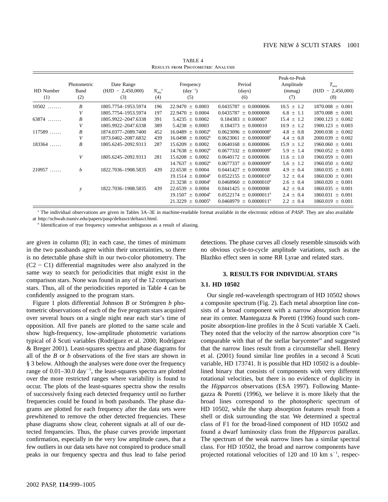| <b>RESULTS FROM PHOTOMETRIC ANALYSIS</b> |                            |                                          |                                   |                                         |                             |                                            |                                                |
|------------------------------------------|----------------------------|------------------------------------------|-----------------------------------|-----------------------------------------|-----------------------------|--------------------------------------------|------------------------------------------------|
| HD Number<br>(1)                         | Photometric<br>Band<br>(2) | Date Range<br>$(HJD - 2,450,000)$<br>(3) | $N_{\rm obs}$ <sup>a</sup><br>(4) | Frequency<br>$(\text{day}^{-1})$<br>(5) | Period<br>(days)<br>(6)     | Peak-to-Peak<br>Amplitude<br>(mmag)<br>(7) | $T_{\rm min}$<br>2,450,000)<br>$(HJD -$<br>(8) |
| 10502<br>1.1.1.1.1.1                     | B                          | 1805.7754-1953.5974                      | 196                               | $22.9470 \pm 0.0003$                    | $0.0435787 \pm 0.0000006$   | $10.5 \pm 1.2$                             | $1870.008 \pm 0.001$                           |
|                                          | V                          | 1805.7754-1953.5974                      | 197                               | $22.9470 \pm 0.0004$                    | $0.0435787 \pm 0.0000008$   | $6.8 \pm 1.1$                              | $1870.008 \pm 0.001$                           |
| $63874$                                  | B                          | 1805.9922-2047.6338                      | 391                               | $5.4235 \pm 0.0002$                     | $0.184383 \pm 0.000007$     | $15.4 \pm 1.2$                             | $1900.123 \pm 0.002$                           |
|                                          | V                          | 1805.9922-2047.6338                      | 389                               | $5.4238 \pm 0.0003$                     | $0.184373 \pm 0.000010$     | $10.9 \pm 1.2$                             | $1900.123 \pm 0.003$                           |
| 117589                                   | B                          | 1874.0377-2089.7400                      | 452                               | $16.0489 \pm 0.0002^b$                  | $0.0623096 \pm 0.0000008^b$ | $4.8 \pm 0.8$                              | $2000.038 \pm 0.002$                           |
|                                          | V                          | 1873.0402-2087.6832                      | 439                               | $16.0498 \pm 0.0002^b$                  | $0.0623061 \pm 0.0000008^b$ | $4.4 \pm 0.8$                              | $2000.039 \pm 0.002$                           |
| $183364$                                 | B                          | 1805.6245-2092.9313                      | 287                               | 15.6209<br>$\pm 0.0002$                 | $0.0640168 \pm 0.0000006$   | $15.9 \pm 1.2$                             | $1960.060 \pm 0.001$                           |
|                                          |                            |                                          |                                   | $14.7638 \pm 0.0002^b$                  | $0.0677332 \pm 0.0000009^b$ | $5.9 \pm 1.4$                              | $1960.052 \pm 0.003$                           |
|                                          | V                          | 1805.6245-2092.9313                      | 281                               | $15.6208 \pm 0.0002$                    | $0.0640172 + 0.0000006$     | $11.6 \pm 1.0$                             | $1960.059 \pm 0.001$                           |
|                                          |                            |                                          |                                   | $14.7637 \pm 0.0002^b$                  | $0.0677337 \pm 0.0000009^b$ | $5.6 \pm 1.2$                              | $1960.050 \pm 0.002$                           |
| $210957$                                 | b                          | 1822.7036-1908.5835                      | 439                               | $22.6538 \pm 0.0004$                    | $0.0441427 \pm 0.0000008$   | $4.9 \pm 0.4$                              | $1860.035 \pm 0.001$                           |
|                                          |                            |                                          |                                   | $19.1514 \pm 0.0004^b$                  | $0.0522155 + 0.0000010^b$   | $3.2 \pm 0.4$                              | $1860.030 \pm 0.001$                           |
|                                          |                            |                                          |                                   | $21.3238 \pm 0.0004^b$                  | $0.0468960 \pm 0.0000010^6$ | $2.6 \pm 0.4$                              | $1860.020 \pm 0.001$                           |
|                                          | $\mathcal{V}$              | 1822.7036-1908.5835                      | 439                               | $22.6539 \pm 0.0004$                    | $0.0441425 \pm 0.0000008$   | $4.2 \pm 0.4$                              | $1860.035 \pm 0.001$                           |
|                                          |                            |                                          |                                   | $19.1507 \pm 0.0004^b$                  | $0.0522174 \pm 0.0000011^b$ | $2.4 \pm 0.4$                              | $1860.031 \pm 0.001$                           |
|                                          |                            |                                          |                                   | $21.3229 \pm 0.0005^{\circ}$            | $0.0468979 \pm 0.0000011^b$ | $2.2 \pm 0.4$                              | $1860.019 \pm 0.001$                           |

TABLE 4

<sup>a</sup> The individual observations are given in Tables 3A–3E in machine-readable format available in the electronic edition of *PASP*. They are also available at http://schwab.tsuniv.edu/papers/pasp/deltasct/deltasct.html.

<sup>b</sup> Identification of true frequency somewhat ambiguous as a result of aliasing.

are given in column (8); in each case, the times of minimum in the two passbands agree within their uncertainties, so there is no detectable phase shift in our two-color photometry. The  $(C2 - C1)$  differential magnitudes were also analyzed in the same way to search for periodicities that might exist in the comparison stars. None was found in any of the 12 comparison stars. Thus, all of the periodicities reported in Table 4 can be confidently assigned to the program stars.

Figure 1 plots differential Johnson *B* or Strömgren *b* photometric observations of each of the five program stars acquired over several hours on a single night near each star's time of opposition. All five panels are plotted to the same scale and show high-frequency, low-amplitude photometric variations typical of  $\delta$  Scuti variables (Rodríguez et al. 2000; Rodríguez & Breger 2001). Least-squares spectra and phase diagrams for all of the *B* or *b* observations of the five stars are shown in § 3 below. Although the analyses were done over the frequency range of  $0.01-30.0 \text{ day}^{-1}$ , the least-squares spectra are plotted over the more restricted ranges where variability is found to occur. The plots of the least-squares spectra show the results of successively fixing each detected frequency until no further frequencies could be found in both passbands. The phase diagrams are plotted for each frequency after the data sets were prewhitened to remove the other detected frequencies. These phase diagrams show clear, coherent signals at all of our detected frequencies. Thus, the phase curves provide important confirmation, especially in the very low amplitude cases, that a few outliers in our data sets have not conspired to produce small peaks in our frequency spectra and thus lead to false period detections. The phase curves all closely resemble sinusoids with no obvious cycle-to-cycle amplitude variations, such as the Blazhko effect seen in some RR Lyrae and related stars.

#### **3. RESULTS FOR INDIVIDUAL STARS**

#### **3.1. HD 10502**

Our single red-wavelength spectrogram of HD 10502 shows a composite spectrum (Fig. 2). Each metal absorption line consists of a broad component with a narrow absorption feature near its center. Mantegazza & Poretti (1996) found such composite absorption-line profiles in the  $\delta$  Scuti variable X Caeli. They noted that the velocity of the narrow absorption core "is comparable with that of the stellar barycenter" and suggested that the narrow lines result from a circumstellar shell. Henry et al. (2001) found similar line profiles in a second  $\delta$  Scuti variable, HD 173741. It is possible that HD 10502 is a doublelined binary that consists of components with very different rotational velocities, but there is no evidence of duplicity in the *Hipparcos* observations (ESA 1997). Following Mantegazza & Poretti (1996), we believe it is more likely that the broad lines correspond to the photospheric spectrum of HD 10502, while the sharp absorption features result from a shell or disk surrounding the star. We determined a spectral class of F1 for the broad-lined component of HD 10502 and found a dwarf luminosity class from the *Hipparcos* parallax. The spectrum of the weak narrow lines has a similar spectral class. For HD 10502, the broad and narrow components have projected rotational velocities of 120 and 10 km  $s^{-1}$ , respec-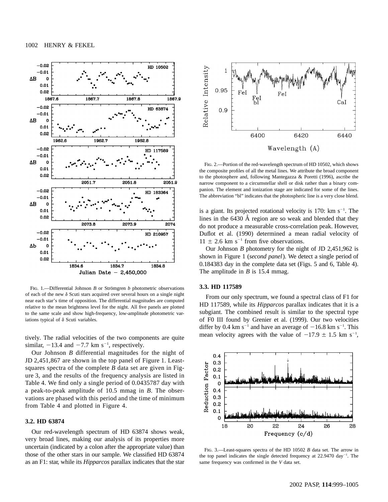

FIG. 1.—Differential Johnson *B* or Strömgren *b* photometric observations of each of the new  $\delta$  Scuti stars acquired over several hours on a single night near each star's time of opposition. The differential magnitudes are computed relative to the mean brightness level for the night. All five panels are plotted to the same scale and show high-frequency, low-amplitude photometric variations typical of  $\delta$  Scuti variables.

tively. The radial velocities of the two components are quite similar,  $-13.4$  and  $-7.7$  km s<sup>-1</sup>, respectively.

Our Johnson *B* differential magnitudes for the night of JD 2,451,867 are shown in the top panel of Figure 1. Leastsquares spectra of the complete *B* data set are given in Figure 3, and the results of the frequency analysis are listed in Table 4. We find only a single period of 0.0435787 day with a peak-to-peak amplitude of 10.5 mmag in *B*. The observations are phased with this period and the time of minimum from Table 4 and plotted in Figure 4.

#### **3.2. HD 63874**

Our red-wavelength spectrum of HD 63874 shows weak, very broad lines, making our analysis of its properties more uncertain (indicated by a colon after the appropriate value) than those of the other stars in our sample. We classified HD 63874 as an F1: star, while its *Hipparcos* parallax indicates that the star



Fig. 2.—Portion of the red-wavelength spectrum of HD 10502, which shows the composite profiles of all the metal lines. We attribute the broad component to the photosphere and, following Mantegazza & Poretti (1996), ascribe the narrow component to a circumstellar shell or disk rather than a binary companion. The element and ionization stage are indicated for some of the lines. The abbreviation "bl" indicates that the photospheric line is a very close blend.

is a giant. Its projected rotational velocity is  $170$ : km s<sup>-1</sup>. The lines in the 6430 Å region are so weak and blended that they do not produce a measurable cross-correlation peak. However, Duflot et al. (1990) determined a mean radial velocity of  $11 \pm 2.6$  km s<sup>-1</sup> from five observations.

Our Johnson *B* photometry for the night of JD 2,451,962 is shown in Figure 1 (*second panel*). We detect a single period of 0.184383 day in the complete data set (Figs. 5 and 6, Table 4). The amplitude in *B* is 15.4 mmag.

## **3.3. HD 117589**

From our only spectrum, we found a spectral class of F1 for HD 117589, while its *Hipparcos* parallax indicates that it is a subgiant. The combined result is similar to the spectral type of F0 III found by Grenier et al. (1999). Our two velocities differ by 0.4 km s<sup>-1</sup> and have an average of  $-16.8$  km s<sup>-1</sup>. This mean velocity agrees with the value of  $-17.9 \pm 1.5$  km s<sup>-1</sup>,



Fig. 3.—Least-squares spectra of the HD 10502 *B* data set. The arrow in the top panel indicates the single detected frequency at  $22.9470 \text{ day}^{-1}$ . The same frequency was confirmed in the *V* data set.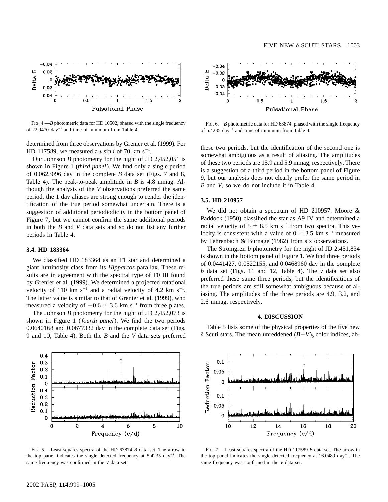

FIG. 4.—*B* photometric data for HD 10502, phased with the single frequency of 22.9470 day<sup>-1</sup> and time of minimum from Table 4.

determined from three observations by Grenier et al. (1999). For HD 117589, we measured a v sin *i* of 70 km s<sup>-1</sup>.

Our Johnson *B* photometry for the night of JD 2,452,051 is shown in Figure 1 (*third panel*). We find only a single period of 0.0623096 day in the complete *B* data set (Figs. 7 and 8, Table 4). The peak-to-peak amplitude in *B* is 4.8 mmag. Although the analysis of the *V* observations preferred the same period, the 1 day aliases are strong enough to render the identification of the true period somewhat uncertain. There is a suggestion of additional periodiodicity in the bottom panel of Figure 7, but we cannot confirm the same additional periods in both the *B* and *V* data sets and so do not list any further periods in Table 4.

#### **3.4. HD 183364**

We classified HD 183364 as an F1 star and determined a giant luminosity class from its *Hipparcos* parallax. These results are in agreement with the spectral type of F0 III found by Grenier et al. (1999). We determined a projected rotational velocity of 110 km  $s^{-1}$  and a radial velocity of 4.2 km  $s^{-1}$ . The latter value is similar to that of Grenier et al. (1999), who measured a velocity of  $-0.6 \pm 3.6$  km s<sup>-1</sup> from three plates.

The Johnson *B* photometry for the night of JD 2,452,073 is shown in Figure 1 (*fourth panel*). We find the two periods 0.0640168 and 0.0677332 day in the complete data set (Figs. 9 and 10, Table 4). Both the *B* and the *V* data sets preferred



FIG. 6.—*B* photometric data for HD 63874, phased with the single frequency of  $5.4235 \text{ day}^{-1}$  and time of minimum from Table 4.

these two periods, but the identification of the second one is somewhat ambiguous as a result of aliasing. The amplitudes of these two periods are 15.9 and 5.9 mmag, respectively. There is a suggestion of a third period in the bottom panel of Figure 9, but our analysis does not clearly prefer the same period in *B* and *V*, so we do not include it in Table 4.

#### **3.5. HD 210957**

We did not obtain a spectrum of HD 210957. Moore & Paddock (1950) classified the star as A9 IV and determined a radial velocity of  $5 \pm 8.5$  km s<sup>-1</sup> from two spectra. This velocity is consistent with a value of  $0 \pm 3.5$  km s<sup>-1</sup> measured by Fehrenbach & Burnage (1982) from six observations.

The Strömgren  $b$  photometry for the night of JD 2,451,834 is shown in the bottom panel of Figure 1. We find three periods of 0.0441427, 0.0522155, and 0.0468960 day in the complete *b* data set (Figs. 11 and 12, Table 4). The *y* data set also preferred these same three periods, but the identifications of the true periods are still somewhat ambiguous because of aliasing. The amplitudes of the three periods are 4.9, 3.2, and 2.6 mmag, respectively.

## **4. DISCUSSION**

Table 5 lists some of the physical properties of the five new  $\delta$  Scuti stars. The mean unreddened  $(B-V)$ <sub>0</sub> color indices, ab-



FIG. 5.—Least-squares spectra of the HD 63874 *B* data set. The arrow in the top panel indicates the single detected frequency at  $5.4235 \text{ day}^{-1}$ . The same frequency was confirmed in the *V* data set.



FIG. 7.—Least-squares spectra of the HD 117589 *B* data set. The arrow in the top panel indicates the single detected frequency at  $16.0489 \text{ day}^{-1}$ . The same frequency was confirmed in the *V* data set.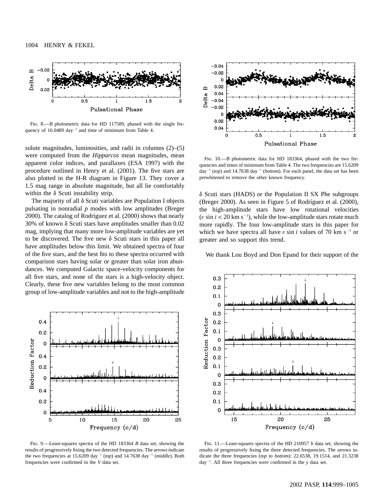

FIG. 8.—*B* photometric data for HD 117589, phased with the single frequency of  $16.0489 \text{ day}^{-1}$  and time of minimum from Table 4.

solute magnitudes, luminosities, and radii in columns (2)–(5) were computed from the *Hipparcos* mean magnitudes, mean apparent color indices, and parallaxes (ESA 1997) with the procedure outlined in Henry et al. (2001). The five stars are also plotted in the H-R diagram in Figure 13. They cover a 1.5 mag range in absolute magnitude, but all lie comfortably within the  $\delta$  Scuti instability strip.

The majority of all  $\delta$  Scuti variables are Population I objects pulsating in nonradial *p* modes with low amplitudes (Breger 2000). The catalog of Rodríguez et al. (2000) shows that nearly 30% of known  $\delta$  Scuti stars have amplitudes smaller than 0.02 mag, implying that many more low-amplitude variables are yet to be discovered. The five new  $\delta$  Scuti stars in this paper all have amplitudes below this limit. We obtained spectra of four of the five stars, and the best fits to these spectra occurred with comparison stars having solar or greater than solar iron abundances. We computed Galactic space-velocity components for all five stars, and none of the stars is a high-velocity object. Clearly, these five new variables belong to the most common group of low-amplitude variables and not to the high-amplitude



Fig. 9.—Least-squares spectra of the HD 183364 *B* data set, showing the results of progressively fixing the two detected frequencies. The arrows indicate the two frequencies at  $15.6209 \text{ day}^{-1}$  (*top*) and  $14.7638 \text{ day}^{-1}$  (*middle*). Both frequencies were confirmed in the *V* data set.



FIG. 10.—*B* photometric data for HD 183364, phased with the two frequencies and times of minimum from Table 4. The two frequencies are 15.6209  $day^{-1} (top)$  and 14.7638 day<sup>-1</sup> (*bottom*). For each panel, the data set has been prewhitened to remove the other known frequency.

 $\delta$  Scuti stars (HADS) or the Population II SX Phe subgroups (Breger 2000). As seen in Figure 5 of Rodríguez et al. (2000), the high-amplitude stars have low rotational velocities ( $v \sin i < 20$  km s<sup> $-1$ </sup>), while the low-amplitude stars rotate much more rapidly. The four low-amplitude stars in this paper for which we have spectra all have v sin *i* values of 70 km s<sup> $-1$ </sup> or greater and so support this trend.

We thank Lou Boyd and Don Epand for their support of the



Fig. 11.—Least-squares spectra of the HD 210957 *b* data set, showing the results of progressively fixing the three detected frequencies. The arrows indicate the three frequencies (*top to bottom*): 22.6538, 19.1514, and 21.3238  $day^{-1}$ . All three frequencies were confirmed in the *y* data set.